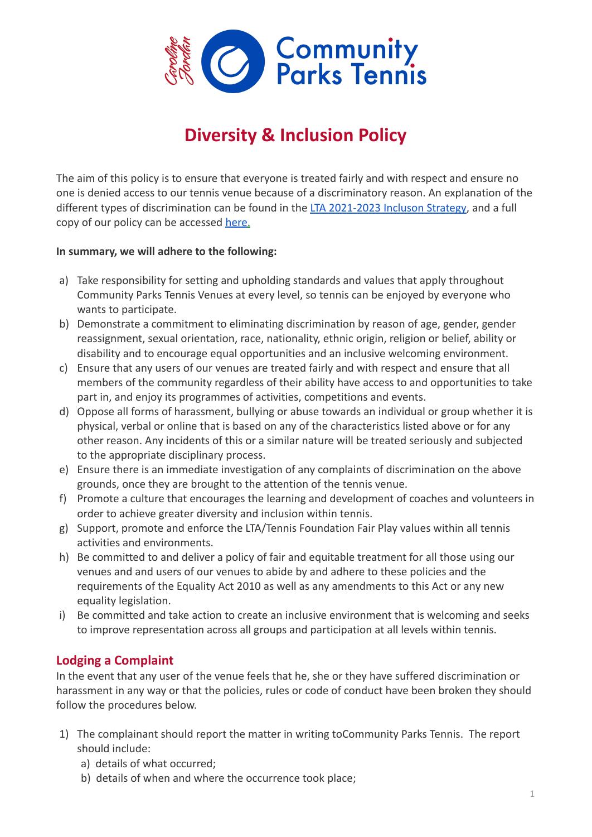

## **Diversity & Inclusion Policy**

The aim of this policy is to ensure that everyone is treated fairly and with respect and ensure no one is denied access to our tennis venue because of a discriminatory reason. An explanation of the different types of discrimination can be found in the [LTA 2021-2023 Incluson Strategy,](https://www.lta.org.uk/globalassets/about-lta/equality--diversity/lta-inclusion-strategy-2021-23.pdf?utm_source=LTA&utm_medium=email&utm_campaign=e_clubs_wforc_service_clubs_inclusion-strategy_ptwo_may2021&utm_content=cta) and a full copy of our policy can be accessed [here](https://www.lta.org.uk/globalassets/counties/scotland/safeguarding_pdf/british-tennis-diversity-and-inclusion-policy---sep-2017.pdf?_t_id=1B2M2Y8AsgTpgAmY7PhCfg%3d%3d&_t_q=Transgender+policy&_t_tags=language%3aen%2csiteid%3af3862a05-6b76-4b3c-9179-c99ae142b858&_t_ip=5.150.66.106%3a53730&_t_hit.id=Lta_Models_Media_Pdf/_51220fc6-6800-44d2-aa01-5e22bc118a69&_t_hit.pos=7).

## **In summary, we will adhere to the following:**

- a) Take responsibility for setting and upholding standards and values that apply throughout Community Parks Tennis Venues at every level, so tennis can be enjoyed by everyone who wants to participate.
- b) Demonstrate a commitment to eliminating discrimination by reason of age, gender, gender reassignment, sexual orientation, race, nationality, ethnic origin, religion or belief, ability or disability and to encourage equal opportunities and an inclusive welcoming environment.
- c) Ensure that any users of our venues are treated fairly and with respect and ensure that all members of the community regardless of their ability have access to and opportunities to take part in, and enjoy its programmes of activities, competitions and events.
- d) Oppose all forms of harassment, bullying or abuse towards an individual or group whether it is physical, verbal or online that is based on any of the characteristics listed above or for any other reason. Any incidents of this or a similar nature will be treated seriously and subjected to the appropriate disciplinary process.
- e) Ensure there is an immediate investigation of any complaints of discrimination on the above grounds, once they are brought to the attention of the tennis venue.
- f) Promote a culture that encourages the learning and development of coaches and volunteers in order to achieve greater diversity and inclusion within tennis.
- g) Support, promote and enforce the LTA/Tennis Foundation Fair Play values within all tennis activities and environments.
- h) Be committed to and deliver a policy of fair and equitable treatment for all those using our venues and and users of our venues to abide by and adhere to these policies and the requirements of the Equality Act 2010 as well as any amendments to this Act or any new equality legislation.
- i) Be committed and take action to create an inclusive environment that is welcoming and seeks to improve representation across all groups and participation at all levels within tennis.

## **Lodging a Complaint**

In the event that any user of the venue feels that he, she or they have suffered discrimination or harassment in any way or that the policies, rules or code of conduct have been broken they should follow the procedures below.

- 1) The complainant should report the matter in writing toCommunity Parks Tennis. The report should include:
	- a) details of what occurred;
	- b) details of when and where the occurrence took place;